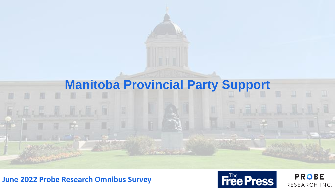

### **June 2022 Probe Research Omnibus Survey**



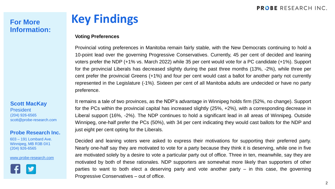# **Information:**

#### **Scott MacKay**

President (204) 926-6565 scott@probe-research.com

#### **Probe Research Inc.**

603 – 191 Lombard Ave. Winnipeg, MB R3B 0X1 (204) 926-6565

#### [www.probe-research.com](http://www.probe-research.com/)



# **For More Key Findings**

#### **Voting Preferences**

Provincial voting preferences in Manitoba remain fairly stable, with the New Democrats continuing to hold a 10-point lead over the governing Progressive Conservatives. Currently, 45 per cent of decided and leaning voters prefer the NDP (+1% vs. March 2022) while 35 per cent would vote for a PC candidate (+1%). Support for the provincial Liberals has decreased slightly during the past three months (13%, -2%), while three per cent prefer the provincial Greens (+1%) and four per cent would cast a ballot for another party not currently represented in the Legislature (-1%). Sixteen per cent of all Manitoba adults are undecided or have no party preference.

It remains a tale of two provinces, as the NDP's advantage in Winnipeg holds firm (52%, no change). Support for the PCs within the provincial capital has increased slightly (25%, +2%), with a corresponding decrease in Liberal support (16%, -2%). The NDP continues to hold a significant lead in all areas of Winnipeg. Outside Winnipeg, one-half prefer the PCs (50%), with 34 per cent indicating they would cast ballots for the NDP and just eight per cent opting for the Liberals.

Decided and leaning voters were asked to express their motivations for supporting their preferred party. Nearly one-half say they are motivated to vote for a party because they think it is deserving, while one in five are motivated solely by a desire to vote a particular party out of office. Three in ten, meanwhile, say they are motivated by both of these rationales. NDP supporters are somewhat more likely than supporters of other parties to want to both elect a deserving party and vote another party – in this case, the governing Progressive Conservatives – out of office.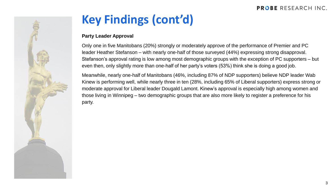

# **Key Findings (cont'd)**

#### **Party Leader Approval**

Only one in five Manitobans (20%) strongly or moderately approve of the performance of Premier and PC leader Heather Stefanson – with nearly one-half of those surveyed (44%) expressing strong disapproval. Stefanson's approval rating is low among most demographic groups with the exception of PC supporters – but even then, only slightly more than one-half of her party's voters (53%) think she is doing a good job.

Meanwhile, nearly one-half of Manitobans (46%, including 87% of NDP supporters) believe NDP leader Wab Kinew is performing well, while nearly three in ten (28%, including 65% of Liberal supporters) express strong or moderate approval for Liberal leader Dougald Lamont. Kinew's approval is especially high among women and those living in Winnipeg – two demographic groups that are also more likely to register a preference for his party.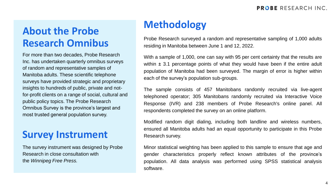# **Methodology About the Probe Research Omnibus**

For more than two decades, Probe Research Inc. has undertaken quarterly omnibus surveys of random and representative samples of Manitoba adults. These scientific telephone surveys have provided strategic and proprietary insights to hundreds of public, private and notfor-profit clients on a range of social, cultural and public policy topics. The Probe Research Omnibus Survey is the province's largest and most trusted general population survey.

## **Survey Instrument**

The survey instrument was designed by Probe Research in close consultation with the *Winnipeg Free Press.*

Probe Research surveyed a random and representative sampling of 1,000 adults residing in Manitoba between June 1 and 12, 2022.

With a sample of 1,000, one can say with 95 per cent certainty that the results are within  $\pm$  3.1 percentage points of what they would have been if the entire adult population of Manitoba had been surveyed. The margin of error is higher within each of the survey's population sub-groups.

The sample consists of 457 Manitobans randomly recruited via live-agent telephoned operator; 305 Manitobans randomly recruited via Interactive Voice Response (IVR) and 238 members of Probe Research's online panel. All respondents completed the survey on an online platform.

Modified random digit dialing, including both landline and wireless numbers, ensured all Manitoba adults had an equal opportunity to participate in this Probe Research survey.

Minor statistical weighting has been applied to this sample to ensure that age and gender characteristics properly reflect known attributes of the province's population. All data analysis was performed using SPSS statistical analysis software.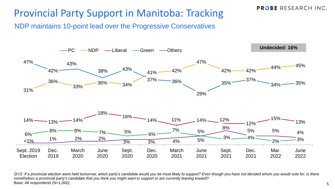## Provincial Party Support in Manitoba: Tracking

NDP maintains 10-point lead over the Progressive Conservatives



*Q1/2. If a provincial election were held tomorrow, which party's candidate would you be most likely to support? Even though you have not decided whom you would vote for, is there nonetheless a provincial party's candidate that you think you might want to support or are currently leaning toward?* Base: All respondents (N=1,000)

**PROBE RESEARCH INC.**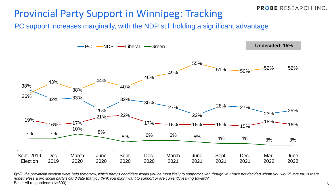## Provincial Party Support in Winnipeg: Tracking

PC support increases marginally, with the NDP still holding a significant advantage



*Q1/2. If a provincial election were held tomorrow, which party's candidate would you be most likely to support? Even though you have not decided whom you would vote for, is there nonetheless a provincial party's candidate that you think you might want to support or are currently leaning toward?* Base: All respondents (N=600)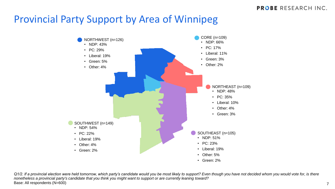7

## Provincial Party Support by Area of Winnipeg



*Q1/2. If a provincial election were held tomorrow, which party's candidate would you be most likely to support? Even though you have not decided whom you would vote for, is there nonetheless a provincial party's candidate that you think you might want to support or are currently leaning toward?* Base: All respondents (N=600)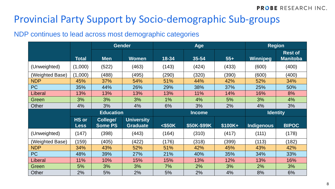## Provincial Party Support by Socio-demographic Sub-groups

#### NDP continues to lead across most demographic categories

|                 |                             | <b>Gender</b>              |                                      | Age          |               |          | <b>Region</b>     |                                   |
|-----------------|-----------------------------|----------------------------|--------------------------------------|--------------|---------------|----------|-------------------|-----------------------------------|
|                 | <b>Total</b>                | <b>Men</b>                 | <b>Women</b>                         | $18 - 34$    | 35-54         | $55+$    | <b>Winnipeg</b>   | <b>Rest of</b><br><b>Manitoba</b> |
| (Unweighted)    | (1,000)                     | (522)                      | (463)                                | (143)        | (424)         | (433)    | (600)             | (400)                             |
| (Weighted Base) | (1,000)                     | (488)                      | (495)                                | (290)        | (320)         | (390)    | (600)             | (400)                             |
| <b>NDP</b>      | 45%                         | 37%                        | 54%                                  | 51%          | 44%           | 42%      | 52%               | 34%                               |
| <b>PC</b>       | 35%                         | 44%                        | 26%                                  | 29%          | 38%           | 37%      | 25%               | 50%                               |
| Liberal         | 13%                         | 13%                        | 13%                                  | 13%          | 11%           | 14%      | 16%               | 8%                                |
| Green           | 3%                          | 3%                         | 3%                                   | 1%           | 4%            | 5%       | 3%                | 4%                                |
| Other           | 4%                          | 3%                         | 4%                                   | 6%           | 3%            | 2%       | 4%                | 3%                                |
|                 |                             |                            |                                      |              |               |          |                   |                                   |
|                 |                             | <b>Education</b>           |                                      |              | <b>Income</b> |          |                   | <b>Identity</b>                   |
|                 | <b>HS or</b><br><b>Less</b> | College/<br><b>Some PS</b> | <b>University</b><br><b>Graduate</b> | $<$ \$50 $K$ | \$50K-\$99K   | $$100K+$ | <b>Indigenous</b> | <b>BIPOC</b>                      |
| (Unweighted)    | (147)                       | (398)                      | (443)                                | (164)        | (310)         | (417)    | (111)             | (178)                             |
| (Weighted Base) | (159)                       | (405)                      | (422)                                | (176)        | (318)         | (399)    | (113)             | (182)                             |
| <b>NDP</b>      | 34%                         | 43%                        | 52%                                  | 51%          | 42%           | 45%      | 43%               | 42%                               |
| <b>PC</b>       | 48%                         | 39%                        | 27%                                  | 21%          | 40%           | 35%      | 34%               | 33%                               |
| Liberal         | 11%                         | 10%                        | 15%                                  | 15%          | 13%           | 12%      | 13%               | 16%                               |
| Green           | 5%                          | 3%                         | 3%                                   | 7%           | 2%            | 3%       | 2%                | 3%                                |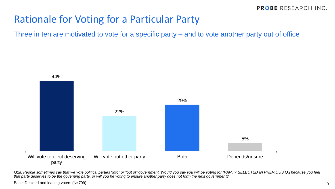## Rationale for Voting for a Particular Party

Three in ten are motivated to vote for a specific party – and to vote another party out of office



Q2a. People sometimes say that we vote political parties "into" or "out of" government. Would you say you will be voting for [PARTY SELECTED IN PREVIOUS Q.] because you feel *that party deserves to be the governing party, or will you be voting to ensure another party does not form the next government?*

Base: Decided and leaning voters (N=799)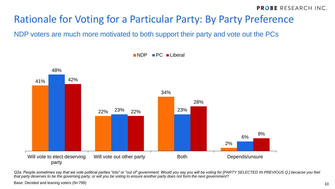# Rationale for Voting for a Particular Party: By Party Preference

NDP voters are much more motivated to both support their party and vote out the PCs



**NDP PC** Liberal

Q2a. People sometimes say that we vote political parties "into" or "out of" government. Would you say you will be voting for [PARTY SELECTED IN PREVIOUS Q.] because you feel *that party deserves to be the governing party, or will you be voting to ensure another party does not form the next government?*

Base: Decided and leaning voters (N=799)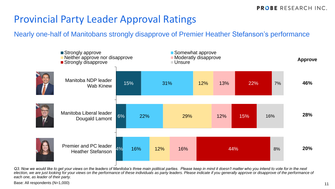## Provincial Party Leader Approval Ratings

Nearly one-half of Manitobans strongly disapprove of Premier Heather Stefanson's performance



*Q3. Now we would like to get your views on the leaders of Manitoba's three main political parties. Please keep in mind it doesn't matter who you intend to vote for in the next election, we are just looking for your views on the performance of these individuals as party leaders. Please indicate if you generally approve or disapprove of the performance of each one, as leader of their party.*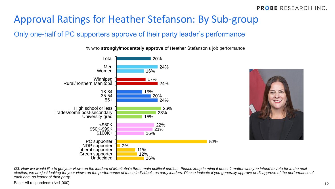# Approval Ratings for Heather Stefanson: By Sub-group

#### Only one-half of PC supporters approve of their party leader's performance

% who **strongly/moderately approve** of Heather Stefanson's job performance





*Q3. Now we would like to get your views on the leaders of Manitoba's three main political parties. Please keep in mind it doesn't matter who you intend to vote for in the next election, we are just looking for your views on the performance of these individuals as party leaders. Please indicate if you generally approve or disapprove of the performance of each one, as leader of their party.*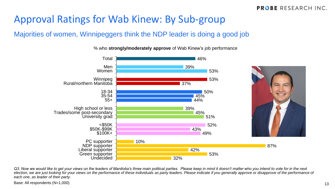## Approval Ratings for Wab Kinew: By Sub-group

#### Majorities of women, Winnipeggers think the NDP leader is doing a good job

% who **strongly/moderately approve** of Wab Kinew's job performance



*Q3. Now we would like to get your views on the leaders of Manitoba's three main political parties. Please keep in mind it doesn't matter who you intend to vote for in the next election, we are just looking for your views on the performance of these individuals as party leaders. Please indicate if you generally approve or disapprove of the performance of each one, as leader of their party.*